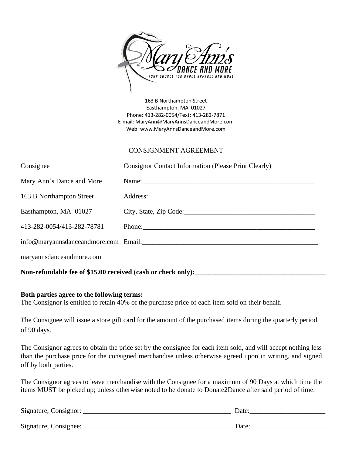

163 B Northampton Street Easthampton, MA 01027 Phone: 413-282-0054/Text: 413-282-7871 E-mail: MaryAnn@MaryAnnsDanceandMore.com Web: www.MaryAnnsDanceandMore.com

## CONSIGNMENT AGREEMENT

| Consignee                  | Consignor Contact Information (Please Print Clearly)                                                                                                                                                                           |
|----------------------------|--------------------------------------------------------------------------------------------------------------------------------------------------------------------------------------------------------------------------------|
| Mary Ann's Dance and More  | Name:                                                                                                                                                                                                                          |
| 163 B Northampton Street   |                                                                                                                                                                                                                                |
| Easthampton, MA 01027      | City, State, Zip Code:                                                                                                                                                                                                         |
| 413-282-0054/413-282-78781 | Phone: Phone Phone Phone Phone Phone Phone Phone Phone Phone Phone Phone Phone Phone Phone Phone Phone Phone Phone Phone Phone Phone Phone Phone Phone Phone Phone Phone Phone Phone Phone Phone Phone Phone Phone Phone Phone |
|                            | info@maryannsdanceandmore.com Email:                                                                                                                                                                                           |
| maryannsdanceandmore.com   |                                                                                                                                                                                                                                |
|                            |                                                                                                                                                                                                                                |

## Non-refundable fee of \$15.00 received (cash or check only):

## **Both parties agree to the following terms:**

The Consignor is entitled to retain 40% of the purchase price of each item sold on their behalf.

The Consignee will issue a store gift card for the amount of the purchased items during the quarterly period of 90 days.

The Consignor agrees to obtain the price set by the consignee for each item sold, and will accept nothing less than the purchase price for the consigned merchandise unless otherwise agreed upon in writing, and signed off by both parties.

The Consignor agrees to leave merchandise with the Consignee for a maximum of 90 Days at which time the items MUST be picked up; unless otherwise noted to be donate to Donate2Dance after said period of time.

| Signature, Consignor: | Date <sup>-</sup> |
|-----------------------|-------------------|
| Signature, Consignee: | Date:             |